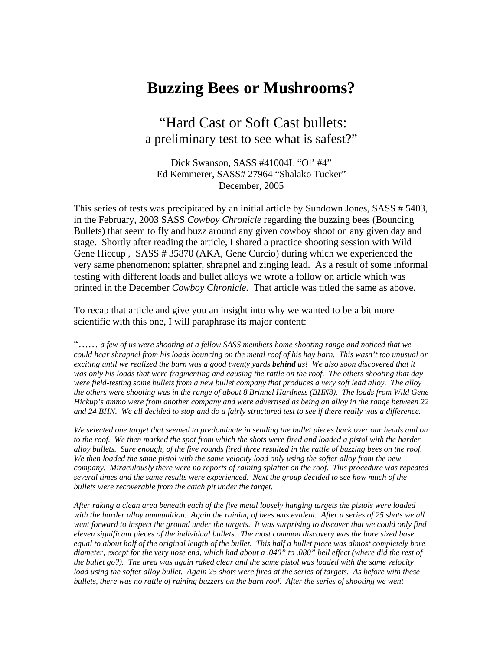# **Buzzing Bees or Mushrooms?**

 "Hard Cast or Soft Cast bullets: a preliminary test to see what is safest?"

Dick Swanson, SASS #41004L "Ol' #4" Ed Kemmerer, SASS# 27964 "Shalako Tucker" December, 2005

This series of tests was precipitated by an initial article by Sundown Jones, SASS # 5403, in the February, 2003 SASS *Cowboy Chronicle* regarding the buzzing bees (Bouncing Bullets) that seem to fly and buzz around any given cowboy shoot on any given day and stage. Shortly after reading the article, I shared a practice shooting session with Wild Gene Hiccup , SASS # 35870 (AKA, Gene Curcio) during which we experienced the very same phenomenon; splatter, shrapnel and zinging lead. As a result of some informal testing with different loads and bullet alloys we wrote a follow on article which was printed in the December *Cowboy Chronicle.* That article was titled the same as above.

To recap that article and give you an insight into why we wanted to be a bit more scientific with this one, I will paraphrase its major content:

"…… *a few of us were shooting at a fellow SASS members home shooting range and noticed that we could hear shrapnel from his loads bouncing on the metal roof of his hay barn. This wasn't too unusual or exciting until we realized the barn was a good twenty yards behind us! We also soon discovered that it was only his loads that were fragmenting and causing the rattle on the roof. The others shooting that day were field-testing some bullets from a new bullet company that produces a very soft lead alloy. The alloy the others were shooting was in the range of about 8 Brinnel Hardness (BHN8). The loads from Wild Gene Hickup's ammo were from another company and were advertised as being an alloy in the range between 22 and 24 BHN. We all decided to stop and do a fairly structured test to see if there really was a difference.* 

*We selected one target that seemed to predominate in sending the bullet pieces back over our heads and on to the roof. We then marked the spot from which the shots were fired and loaded a pistol with the harder alloy bullets. Sure enough, of the five rounds fired three resulted in the rattle of buzzing bees on the roof. We then loaded the same pistol with the same velocity load only using the softer alloy from the new company. Miraculously there were no reports of raining splatter on the roof. This procedure was repeated several times and the same results were experienced. Next the group decided to see how much of the bullets were recoverable from the catch pit under the target.* 

*After raking a clean area beneath each of the five metal loosely hanging targets the pistols were loaded with the harder alloy ammunition. Again the raining of bees was evident. After a series of 25 shots we all went forward to inspect the ground under the targets. It was surprising to discover that we could only find eleven significant pieces of the individual bullets. The most common discovery was the bore sized base equal to about half of the original length of the bullet. This half a bullet piece was almost completely bore diameter, except for the very nose end, which had about a .040" to .080" bell effect (where did the rest of the bullet go?). The area was again raked clear and the same pistol was loaded with the same velocity load using the softer alloy bullet. Again 25 shots were fired at the series of targets. As before with these bullets, there was no rattle of raining buzzers on the barn roof. After the series of shooting we went*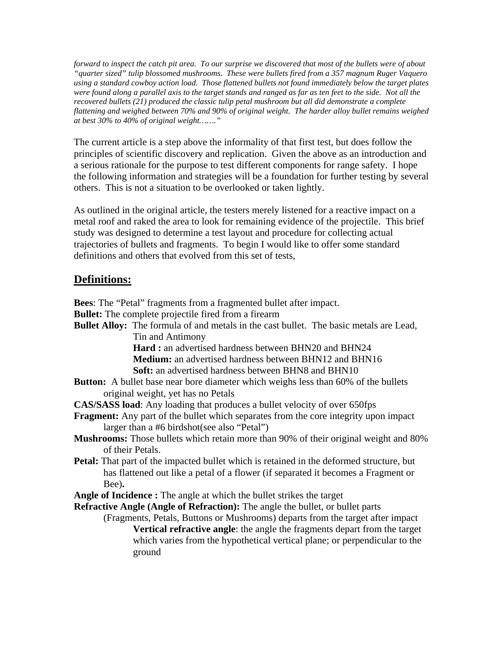*forward to inspect the catch pit area. To our surprise we discovered that most of the bullets were of about "quarter sized" tulip blossomed mushrooms. These were bullets fired from a 357 magnum Ruger Vaquero using a standard cowboy action load. Those flattened bullets not found immediately below the target plates*  were found along a parallel axis to the target stands and ranged as far as ten feet to the side. Not all the *recovered bullets (21) produced the classic tulip petal mushroom but all did demonstrate a complete flattening and weighed between 70% and 90% of original weight. The harder alloy bullet remains weighed at best 30% to 40% of original weight……."* 

The current article is a step above the informality of that first test, but does follow the principles of scientific discovery and replication. Given the above as an introduction and a serious rationale for the purpose to test different components for range safety. I hope the following information and strategies will be a foundation for further testing by several others. This is not a situation to be overlooked or taken lightly.

As outlined in the original article, the testers merely listened for a reactive impact on a metal roof and raked the area to look for remaining evidence of the projectile. This brief study was designed to determine a test layout and procedure for collecting actual trajectories of bullets and fragments. To begin I would like to offer some standard definitions and others that evolved from this set of tests,

## **Definitions:**

|                                                                                                                                 | <b>Bees:</b> The "Petal" fragments from a fragmented bullet after impact.                                                                                                            |  |  |  |  |  |
|---------------------------------------------------------------------------------------------------------------------------------|--------------------------------------------------------------------------------------------------------------------------------------------------------------------------------------|--|--|--|--|--|
| <b>Bullet:</b> The complete projectile fired from a firearm                                                                     |                                                                                                                                                                                      |  |  |  |  |  |
|                                                                                                                                 | <b>Bullet Alloy:</b> The formula of and metals in the cast bullet. The basic metals are Lead,                                                                                        |  |  |  |  |  |
|                                                                                                                                 | Tin and Antimony                                                                                                                                                                     |  |  |  |  |  |
|                                                                                                                                 | Hard: an advertised hardness between BHN20 and BHN24                                                                                                                                 |  |  |  |  |  |
|                                                                                                                                 | <b>Medium:</b> an advertised hardness between BHN12 and BHN16                                                                                                                        |  |  |  |  |  |
|                                                                                                                                 | <b>Soft:</b> an advertised hardness between BHN8 and BHN10                                                                                                                           |  |  |  |  |  |
| <b>Button:</b> A bullet base near bore diameter which weighs less than 60% of the bullets<br>original weight, yet has no Petals |                                                                                                                                                                                      |  |  |  |  |  |
| <b>CAS/SASS load:</b> Any loading that produces a bullet velocity of over 650fps                                                |                                                                                                                                                                                      |  |  |  |  |  |
|                                                                                                                                 | <b>Fragment:</b> Any part of the bullet which separates from the core integrity upon impact<br>larger than a #6 birdshot(see also "Petal")                                           |  |  |  |  |  |
| of their Petals.                                                                                                                | Mushrooms: Those bullets which retain more than 90% of their original weight and 80%                                                                                                 |  |  |  |  |  |
| Bee).                                                                                                                           | <b>Petal:</b> That part of the impacted bullet which is retained in the deformed structure, but<br>has flattened out like a petal of a flower (if separated it becomes a Fragment or |  |  |  |  |  |
| <b>Angle of Incidence :</b> The angle at which the bullet strikes the target                                                    |                                                                                                                                                                                      |  |  |  |  |  |
| <b>Refractive Angle (Angle of Refraction):</b> The angle the bullet, or bullet parts                                            |                                                                                                                                                                                      |  |  |  |  |  |
| (Fragments, Petals, Buttons or Mushrooms) departs from the target after impact                                                  |                                                                                                                                                                                      |  |  |  |  |  |
|                                                                                                                                 | Vertical refractive angle: the angle the fragments depart from the target<br>which varies from the hypothetical vertical plane; or perpendicular to the<br>ground                    |  |  |  |  |  |
|                                                                                                                                 |                                                                                                                                                                                      |  |  |  |  |  |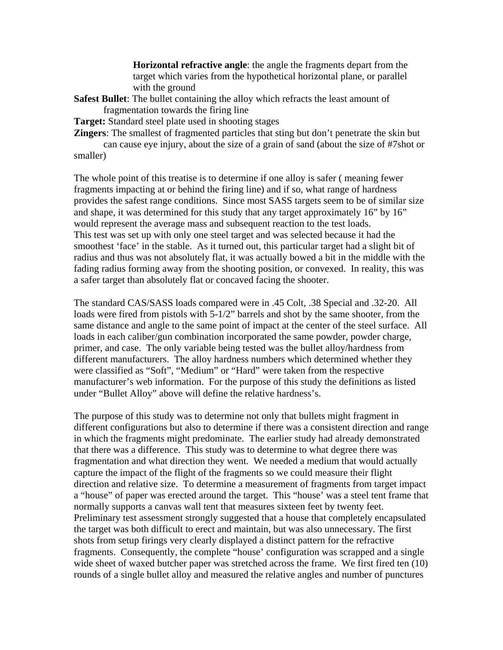**Horizontal refractive angle**: the angle the fragments depart from the target which varies from the hypothetical horizontal plane, or parallel with the ground

- **Safest Bullet**: The bullet containing the alloy which refracts the least amount of fragmentation towards the firing line
- **Target:** Standard steel plate used in shooting stages

**Zingers**: The smallest of fragmented particles that sting but don't penetrate the skin but can cause eye injury, about the size of a grain of sand (about the size of #7shot or smaller)

The whole point of this treatise is to determine if one alloy is safer ( meaning fewer fragments impacting at or behind the firing line) and if so, what range of hardness provides the safest range conditions. Since most SASS targets seem to be of similar size and shape, it was determined for this study that any target approximately 16" by 16" would represent the average mass and subsequent reaction to the test loads. This test was set up with only one steel target and was selected because it had the smoothest 'face' in the stable. As it turned out, this particular target had a slight bit of radius and thus was not absolutely flat, it was actually bowed a bit in the middle with the fading radius forming away from the shooting position, or convexed. In reality, this was a safer target than absolutely flat or concaved facing the shooter.

The standard CAS/SASS loads compared were in .45 Colt, .38 Special and .32-20. All loads were fired from pistols with 5-1/2" barrels and shot by the same shooter, from the same distance and angle to the same point of impact at the center of the steel surface. All loads in each caliber/gun combination incorporated the same powder, powder charge, primer, and case. The only variable being tested was the bullet alloy/hardness from different manufacturers. The alloy hardness numbers which determined whether they were classified as "Soft", "Medium" or "Hard" were taken from the respective manufacturer's web information. For the purpose of this study the definitions as listed under "Bullet Alloy" above will define the relative hardness's.

The purpose of this study was to determine not only that bullets might fragment in different configurations but also to determine if there was a consistent direction and range in which the fragments might predominate. The earlier study had already demonstrated that there was a difference. This study was to determine to what degree there was fragmentation and what direction they went. We needed a medium that would actually capture the impact of the flight of the fragments so we could measure their flight direction and relative size. To determine a measurement of fragments from target impact a "house" of paper was erected around the target. This "house' was a steel tent frame that normally supports a canvas wall tent that measures sixteen feet by twenty feet. Preliminary test assessment strongly suggested that a house that completely encapsulated the target was both difficult to erect and maintain, but was also unnecessary. The first shots from setup firings very clearly displayed a distinct pattern for the refractive fragments. Consequently, the complete "house' configuration was scrapped and a single wide sheet of waxed butcher paper was stretched across the frame. We first fired ten (10) rounds of a single bullet alloy and measured the relative angles and number of punctures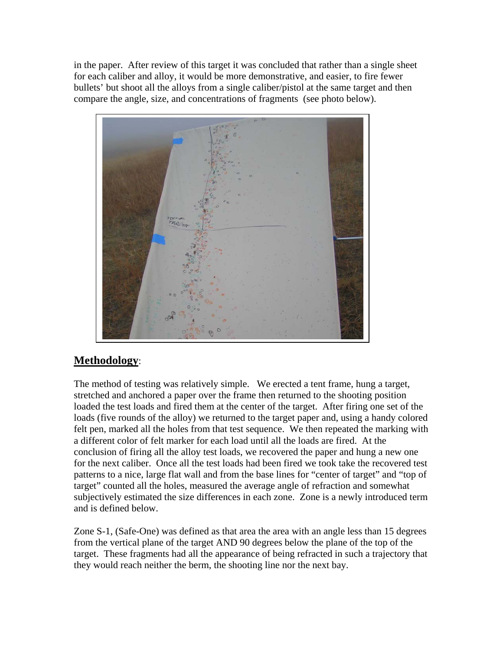in the paper. After review of this target it was concluded that rather than a single sheet for each caliber and alloy, it would be more demonstrative, and easier, to fire fewer bullets' but shoot all the alloys from a single caliber/pistol at the same target and then compare the angle, size, and concentrations of fragments (see photo below).



# **Methodology**:

The method of testing was relatively simple. We erected a tent frame, hung a target, stretched and anchored a paper over the frame then returned to the shooting position loaded the test loads and fired them at the center of the target. After firing one set of the loads (five rounds of the alloy) we returned to the target paper and, using a handy colored felt pen, marked all the holes from that test sequence. We then repeated the marking with a different color of felt marker for each load until all the loads are fired. At the conclusion of firing all the alloy test loads, we recovered the paper and hung a new one for the next caliber. Once all the test loads had been fired we took take the recovered test patterns to a nice, large flat wall and from the base lines for "center of target" and "top of target" counted all the holes, measured the average angle of refraction and somewhat subjectively estimated the size differences in each zone. Zone is a newly introduced term and is defined below.

Zone S-1, (Safe-One) was defined as that area the area with an angle less than 15 degrees from the vertical plane of the target AND 90 degrees below the plane of the top of the target. These fragments had all the appearance of being refracted in such a trajectory that they would reach neither the berm, the shooting line nor the next bay.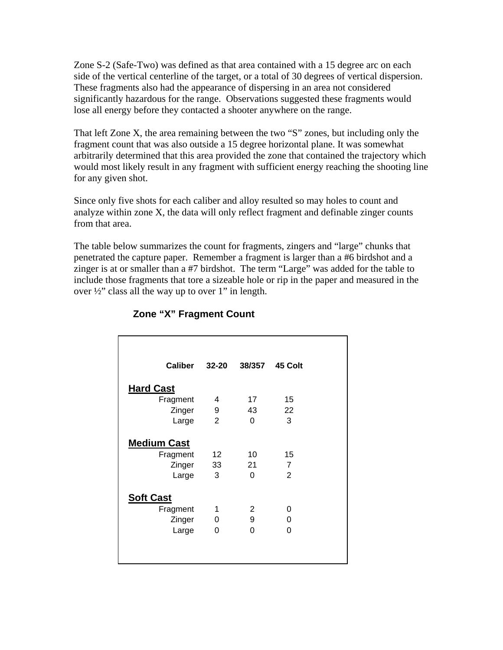Zone S-2 (Safe-Two) was defined as that area contained with a 15 degree arc on each side of the vertical centerline of the target, or a total of 30 degrees of vertical dispersion. These fragments also had the appearance of dispersing in an area not considered significantly hazardous for the range. Observations suggested these fragments would lose all energy before they contacted a shooter anywhere on the range.

That left Zone X, the area remaining between the two "S" zones, but including only the fragment count that was also outside a 15 degree horizontal plane. It was somewhat arbitrarily determined that this area provided the zone that contained the trajectory which would most likely result in any fragment with sufficient energy reaching the shooting line for any given shot.

Since only five shots for each caliber and alloy resulted so may holes to count and analyze within zone X, the data will only reflect fragment and definable zinger counts from that area.

The table below summarizes the count for fragments, zingers and "large" chunks that penetrated the capture paper. Remember a fragment is larger than a #6 birdshot and a zinger is at or smaller than a #7 birdshot. The term "Large" was added for the table to include those fragments that tore a sizeable hole or rip in the paper and measured in the over  $\frac{1}{2}$ " class all the way up to over 1" in length.

| <b>Caliber</b>                                    | 32-20                       |                      | 38/357 45 Colt                         |
|---------------------------------------------------|-----------------------------|----------------------|----------------------------------------|
| <b>Hard Cast</b>                                  |                             |                      |                                        |
| Fragment                                          | 4                           | 17 <sup>1</sup>      | 15                                     |
| Zinger                                            | 9                           | 43                   | 22                                     |
| Large                                             | 2                           | $\Omega$             | 3                                      |
| <b>Medium Cast</b><br>Fragment<br>Zinger<br>Large | 12 <sup>12</sup><br>33<br>3 | 10<br>21<br>$\Omega$ | 15<br>$\overline{7}$<br>$\overline{2}$ |
| <b>Soft Cast</b>                                  |                             |                      |                                        |
| Fragment                                          | 1                           | $\overline{2}$       | 0                                      |
| Zinger                                            | 0                           | 9                    | 0                                      |
| Large                                             | 0                           | $\Omega$             | 0                                      |
|                                                   |                             |                      |                                        |

#### **Zone "X" Fragment Count**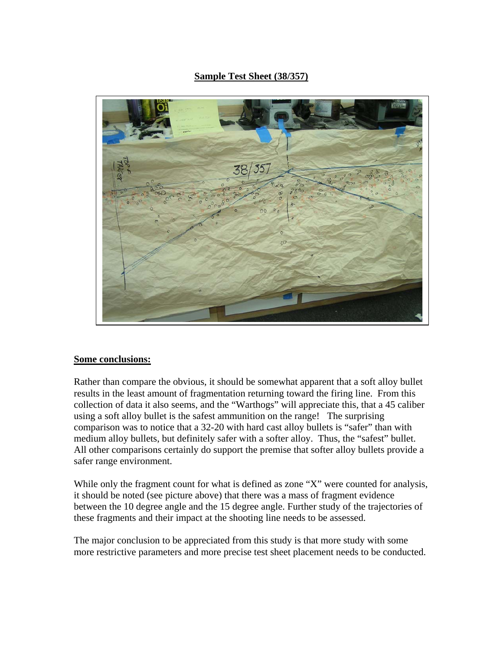### **Sample Test Sheet (38/357)**



#### **Some conclusions:**

Rather than compare the obvious, it should be somewhat apparent that a soft alloy bullet results in the least amount of fragmentation returning toward the firing line. From this collection of data it also seems, and the "Warthogs" will appreciate this, that a 45 caliber using a soft alloy bullet is the safest ammunition on the range! The surprising comparison was to notice that a 32-20 with hard cast alloy bullets is "safer" than with medium alloy bullets, but definitely safer with a softer alloy. Thus, the "safest" bullet. All other comparisons certainly do support the premise that softer alloy bullets provide a safer range environment.

While only the fragment count for what is defined as zone "X" were counted for analysis, it should be noted (see picture above) that there was a mass of fragment evidence between the 10 degree angle and the 15 degree angle. Further study of the trajectories of these fragments and their impact at the shooting line needs to be assessed.

The major conclusion to be appreciated from this study is that more study with some more restrictive parameters and more precise test sheet placement needs to be conducted.